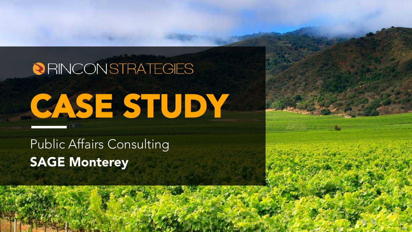# **@RINCONSTRATEGIES** CASE STUDY

Public Affairs Consulting SAGE Monterey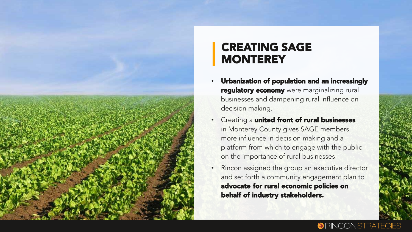

## CREATING SAGE **MONTEREY**

- Urbanization of population and an increasingly regulatory economy were marginalizing rural businesses and dampening rural influence on decision making.
- Creating a united front of rural businesses in Monterey County gives SAGE members more influence in decision making and a platform from which to engage with the public on the importance of rural businesses.
- Rincon assigned the group an executive director and set forth a community engagement plan to advocate for rural economic policies on behalf of industry stakeholders.

#### **ORINCONSTRATEGIES**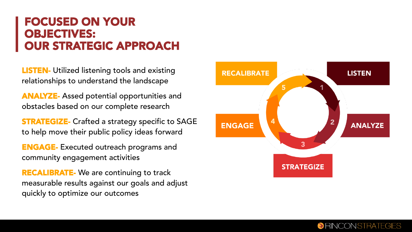#### FOCUSED ON YOUR OBJECTIVES: OUR STRATEGIC APPROACH

**LISTEN-** Utilized listening tools and existing relationships to understand the landscape

ANALYZE- Assed potential opportunities and obstacles based on our complete research

**STRATEGIZE-** Crafted a strategy specific to SAGE to help move their public policy ideas forward

ENGAGE- Executed outreach programs and community engagement activities

**RECALIBRATE-** We are continuing to track measurable results against our goals and adjust quickly to optimize our outcomes



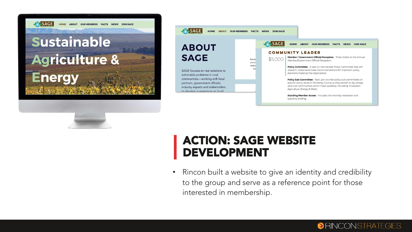

HOME ABOUT OUR MEMBERS FACTS NEWS JOIN SACE

# Sustainable **Agriculture & Energy**



#### ACTION: SAGE WEBSITE DEVELOPMENT

• Rincon built a website to give an identity and credibility to the group and serve as a reference point for those interested in membership.

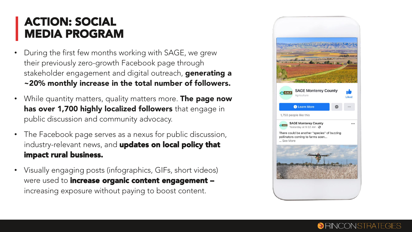#### ACTION: SOCIAL MEDIA PROGRAM

- During the first few months working with SAGE, we grew their previously zero-growth Facebook page through stakeholder engagement and digital outreach, generating a ~20% monthly increase in the total number of followers.
- While quantity matters, quality matters more. **The page now** has over 1,700 highly localized followers that engage in public discussion and community advocacy.
- The Facebook page serves as a nexus for public discussion, industry-relevant news, and updates on local policy that impact rural business.
- Visually engaging posts (infographics, GIFs, short videos) were used to increase organic content engagement increasing exposure without paying to boost content.



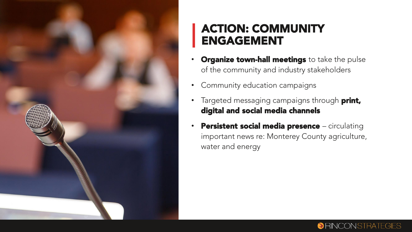

## ACTION: COMMUNITY ENGAGEMENT

- **Organize town-hall meetings** to take the pulse of the community and industry stakeholders
- Community education campaigns
- Targeted messaging campaigns through print, digital and social media channels
- Persistent social media presence circulating important news re: Monterey County agriculture, water and energy

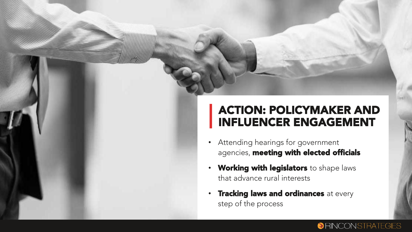### ACTION: POLICYMAKER AND INFLUENCER ENGAGEMENT

**ORINCONSTRATEGIES** 

- Attending hearings for government agencies, meeting with elected officials
- Working with legislators to shape laws that advance rural interests
- Tracking laws and ordinances at every step of the process